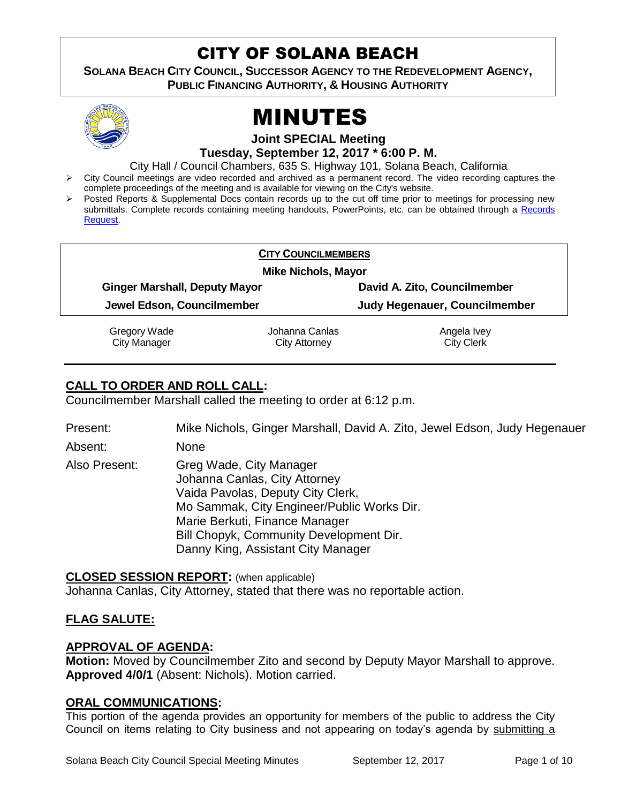# CITY OF SOLANA BEACH

**SOLANA BEACH CITY COUNCIL, SUCCESSOR AGENCY TO THE REDEVELOPMENT AGENCY, PUBLIC FINANCING AUTHORITY, & HOUSING AUTHORITY** 



# MINUTES

**Joint SPECIAL Meeting Tuesday, September 12, 2017 \* 6:00 P. M.**

City Hall / Council Chambers, 635 S. Highway 101, Solana Beach, California

- $\triangleright$  City Council meetings are video recorded and archived as a permanent record. The video recording captures the complete proceedings of the meeting and is available for viewing on the City's website.
- Posted Reports & Supplemental Docs contain records up to the cut off time prior to meetings for processing new submittals. Complete records containing meeting handouts, PowerPoints, etc. can be obtained through a [Records](http://www.ci.solana-beach.ca.us/index.asp?SEC=F5D45D10-70CE-4291-A27C-7BD633FC6742&Type=B_BASIC)  [Request.](http://www.ci.solana-beach.ca.us/index.asp?SEC=F5D45D10-70CE-4291-A27C-7BD633FC6742&Type=B_BASIC)

| <b>CITY COUNCILMEMBERS</b><br><b>Mike Nichols, Mayor</b> |                |                               |
|----------------------------------------------------------|----------------|-------------------------------|
|                                                          |                |                               |
| Jewel Edson, Councilmember                               |                | Judy Hegenauer, Councilmember |
| Gregory Wade                                             | Johanna Canlas | Angela Ivey                   |
| <b>City Manager</b>                                      | City Attorney  | <b>City Clerk</b>             |

# **CALL TO ORDER AND ROLL CALL:**

Councilmember Marshall called the meeting to order at 6:12 p.m.

Present: Mike Nichols, Ginger Marshall, David A. Zito, Jewel Edson, Judy Hegenauer

Absent: None

Also Present: Greg Wade, City Manager Johanna Canlas, City Attorney Vaida Pavolas, Deputy City Clerk, Mo Sammak, City Engineer/Public Works Dir. Marie Berkuti, Finance Manager Bill Chopyk, Community Development Dir. Danny King, Assistant City Manager

# **CLOSED SESSION REPORT:** (when applicable)

Johanna Canlas, City Attorney, stated that there was no reportable action.

# **FLAG SALUTE:**

# **APPROVAL OF AGENDA:**

**Motion:** Moved by Councilmember Zito and second by Deputy Mayor Marshall to approve. **Approved 4/0/1** (Absent: Nichols). Motion carried.

# **ORAL COMMUNICATIONS:**

This portion of the agenda provides an opportunity for members of the public to address the City Council on items relating to City business and not appearing on today's agenda by submitting a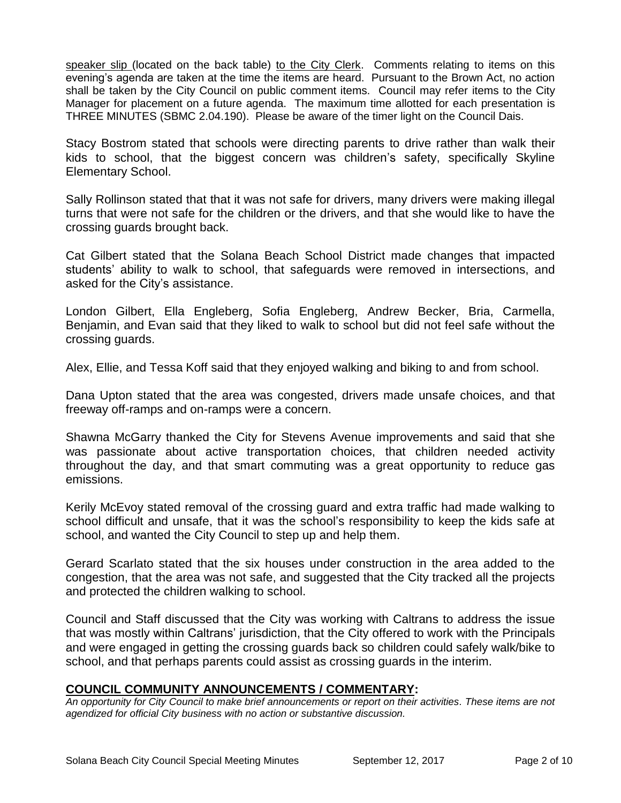speaker slip (located on the back table) to the City Clerk. Comments relating to items on this evening's agenda are taken at the time the items are heard. Pursuant to the Brown Act, no action shall be taken by the City Council on public comment items. Council may refer items to the City Manager for placement on a future agenda. The maximum time allotted for each presentation is THREE MINUTES (SBMC 2.04.190). Please be aware of the timer light on the Council Dais.

Stacy Bostrom stated that schools were directing parents to drive rather than walk their kids to school, that the biggest concern was children's safety, specifically Skyline Elementary School.

Sally Rollinson stated that that it was not safe for drivers, many drivers were making illegal turns that were not safe for the children or the drivers, and that she would like to have the crossing guards brought back.

Cat Gilbert stated that the Solana Beach School District made changes that impacted students' ability to walk to school, that safeguards were removed in intersections, and asked for the City's assistance.

London Gilbert, Ella Engleberg, Sofia Engleberg, Andrew Becker, Bria, Carmella, Benjamin, and Evan said that they liked to walk to school but did not feel safe without the crossing guards.

Alex, Ellie, and Tessa Koff said that they enjoyed walking and biking to and from school.

Dana Upton stated that the area was congested, drivers made unsafe choices, and that freeway off-ramps and on-ramps were a concern.

Shawna McGarry thanked the City for Stevens Avenue improvements and said that she was passionate about active transportation choices, that children needed activity throughout the day, and that smart commuting was a great opportunity to reduce gas emissions.

Kerily McEvoy stated removal of the crossing guard and extra traffic had made walking to school difficult and unsafe, that it was the school's responsibility to keep the kids safe at school, and wanted the City Council to step up and help them.

Gerard Scarlato stated that the six houses under construction in the area added to the congestion, that the area was not safe, and suggested that the City tracked all the projects and protected the children walking to school.

Council and Staff discussed that the City was working with Caltrans to address the issue that was mostly within Caltrans' jurisdiction, that the City offered to work with the Principals and were engaged in getting the crossing guards back so children could safely walk/bike to school, and that perhaps parents could assist as crossing guards in the interim.

# **COUNCIL COMMUNITY ANNOUNCEMENTS / COMMENTARY:**

*An opportunity for City Council to make brief announcements or report on their activities. These items are not agendized for official City business with no action or substantive discussion.*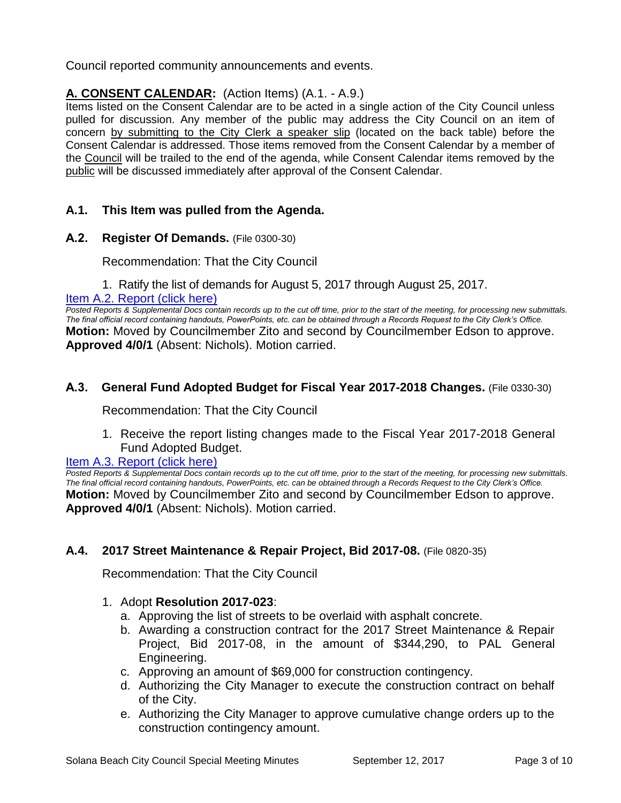Council reported community announcements and events.

# **A. CONSENT CALENDAR:** (Action Items) (A.1. - A.9.)

Items listed on the Consent Calendar are to be acted in a single action of the City Council unless pulled for discussion. Any member of the public may address the City Council on an item of concern by submitting to the City Clerk a speaker slip (located on the back table) before the Consent Calendar is addressed. Those items removed from the Consent Calendar by a member of the Council will be trailed to the end of the agenda, while Consent Calendar items removed by the public will be discussed immediately after approval of the Consent Calendar.

# **A.1. This Item was pulled from the Agenda.**

**A.2. Register Of Demands.** (File 0300-30)

Recommendation: That the City Council

1. Ratify the list of demands for August 5, 2017 through August 25, 2017.

#### [Item A.2. Report \(click here\)](https://solanabeach.govoffice3.com/vertical/Sites/%7B840804C2-F869-4904-9AE3-720581350CE7%7D/uploads/Item_A.2._Report_(click_here)_9-12-17.PDF)

*Posted Reports & Supplemental Docs contain records up to the cut off time, prior to the start of the meeting, for processing new submittals. The final official record containing handouts, PowerPoints, etc. can be obtained through a Records Request to the City Clerk's Office.* **Motion:** Moved by Councilmember Zito and second by Councilmember Edson to approve. **Approved 4/0/1** (Absent: Nichols). Motion carried.

# **A.3. General Fund Adopted Budget for Fiscal Year 2017-2018 Changes.** (File 0330-30)

Recommendation: That the City Council

1. Receive the report listing changes made to the Fiscal Year 2017-2018 General Fund Adopted Budget.

# [Item A.3. Report \(click here\)](https://solanabeach.govoffice3.com/vertical/Sites/%7B840804C2-F869-4904-9AE3-720581350CE7%7D/uploads/Item_A.3._Report_(click_here)_9-12-17.PDF)

*Posted Reports & Supplemental Docs contain records up to the cut off time, prior to the start of the meeting, for processing new submittals. The final official record containing handouts, PowerPoints, etc. can be obtained through a Records Request to the City Clerk's Office.* **Motion:** Moved by Councilmember Zito and second by Councilmember Edson to approve. **Approved 4/0/1** (Absent: Nichols). Motion carried.

# **A.4. 2017 Street Maintenance & Repair Project, Bid 2017-08.** (File 0820-35)

Recommendation: That the City Council

# 1. Adopt **Resolution 2017-023**:

- a. Approving the list of streets to be overlaid with asphalt concrete.
- b. Awarding a construction contract for the 2017 Street Maintenance & Repair Project, Bid 2017-08, in the amount of \$344,290, to PAL General Engineering.
- c. Approving an amount of \$69,000 for construction contingency.
- d. Authorizing the City Manager to execute the construction contract on behalf of the City.
- e. Authorizing the City Manager to approve cumulative change orders up to the construction contingency amount.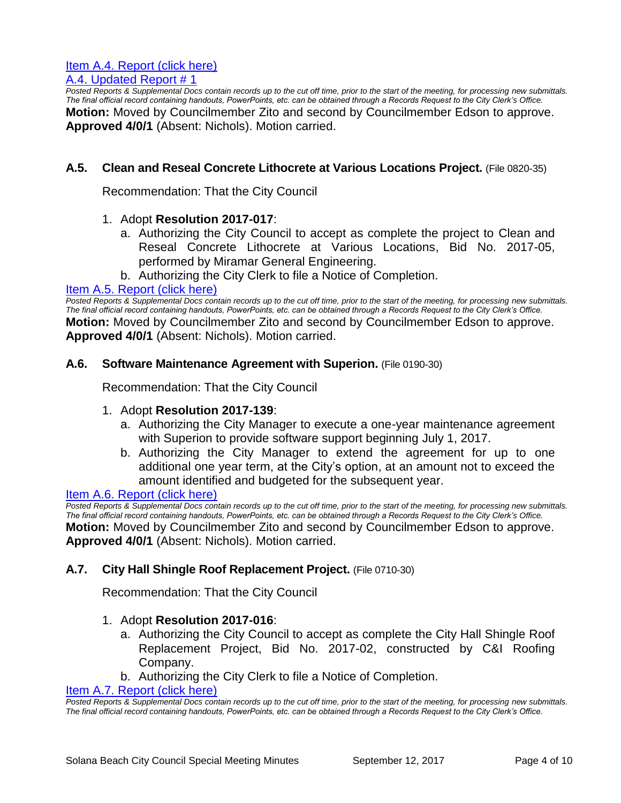# [Item A.4. Report \(click here\)](https://solanabeach.govoffice3.com/vertical/Sites/%7B840804C2-F869-4904-9AE3-720581350CE7%7D/uploads/Item_A.4._Report_(click_here)_9-12-17.pdf)

#### [A.4. Updated Report # 1](https://solanabeach.govoffice3.com/vertical/Sites/%7B840804C2-F869-4904-9AE3-720581350CE7%7D/uploads/A.4._Updated_Report_1_-_9-12-17.pdf)

*Posted Reports & Supplemental Docs contain records up to the cut off time, prior to the start of the meeting, for processing new submittals. The final official record containing handouts, PowerPoints, etc. can be obtained through a Records Request to the City Clerk's Office.* **Motion:** Moved by Councilmember Zito and second by Councilmember Edson to approve. **Approved 4/0/1** (Absent: Nichols). Motion carried.

### **A.5. Clean and Reseal Concrete Lithocrete at Various Locations Project.** (File 0820-35)

Recommendation: That the City Council

#### 1. Adopt **Resolution 2017-017**:

- a. Authorizing the City Council to accept as complete the project to Clean and Reseal Concrete Lithocrete at Various Locations, Bid No. 2017-05, performed by Miramar General Engineering.
- b. Authorizing the City Clerk to file a Notice of Completion.

#### [Item A.5. Report \(click here\)](https://solanabeach.govoffice3.com/vertical/Sites/%7B840804C2-F869-4904-9AE3-720581350CE7%7D/uploads/Item_A.5._Report_(click_here)_9-12-17.PDF)

*Posted Reports & Supplemental Docs contain records up to the cut off time, prior to the start of the meeting, for processing new submittals. The final official record containing handouts, PowerPoints, etc. can be obtained through a Records Request to the City Clerk's Office.* **Motion:** Moved by Councilmember Zito and second by Councilmember Edson to approve. **Approved 4/0/1** (Absent: Nichols). Motion carried.

#### **A.6. Software Maintenance Agreement with Superion.** (File 0190-30)

Recommendation: That the City Council

#### 1. Adopt **Resolution 2017-139**:

- a. Authorizing the City Manager to execute a one-year maintenance agreement with Superion to provide software support beginning July 1, 2017.
- b. Authorizing the City Manager to extend the agreement for up to one additional one year term, at the City's option, at an amount not to exceed the amount identified and budgeted for the subsequent year.

#### [Item A.6. Report \(click here\)](https://solanabeach.govoffice3.com/vertical/Sites/%7B840804C2-F869-4904-9AE3-720581350CE7%7D/uploads/Item_A.6._Report_(click_here)_9-12-17_.PDF)

*Posted Reports & Supplemental Docs contain records up to the cut off time, prior to the start of the meeting, for processing new submittals. The final official record containing handouts, PowerPoints, etc. can be obtained through a Records Request to the City Clerk's Office.* **Motion:** Moved by Councilmember Zito and second by Councilmember Edson to approve. **Approved 4/0/1** (Absent: Nichols). Motion carried.

#### **A.7. City Hall Shingle Roof Replacement Project.** (File 0710-30)

Recommendation: That the City Council

#### 1. Adopt **Resolution 2017-016**:

- a. Authorizing the City Council to accept as complete the City Hall Shingle Roof Replacement Project, Bid No. 2017-02, constructed by C&I Roofing Company.
- b. Authorizing the City Clerk to file a Notice of Completion.

[Item A.7. Report \(click here\)](https://solanabeach.govoffice3.com/vertical/Sites/%7B840804C2-F869-4904-9AE3-720581350CE7%7D/uploads/Item_A.7._Report_(click_here)_9-12-17.PDF)

*Posted Reports & Supplemental Docs contain records up to the cut off time, prior to the start of the meeting, for processing new submittals. The final official record containing handouts, PowerPoints, etc. can be obtained through a Records Request to the City Clerk's Office.*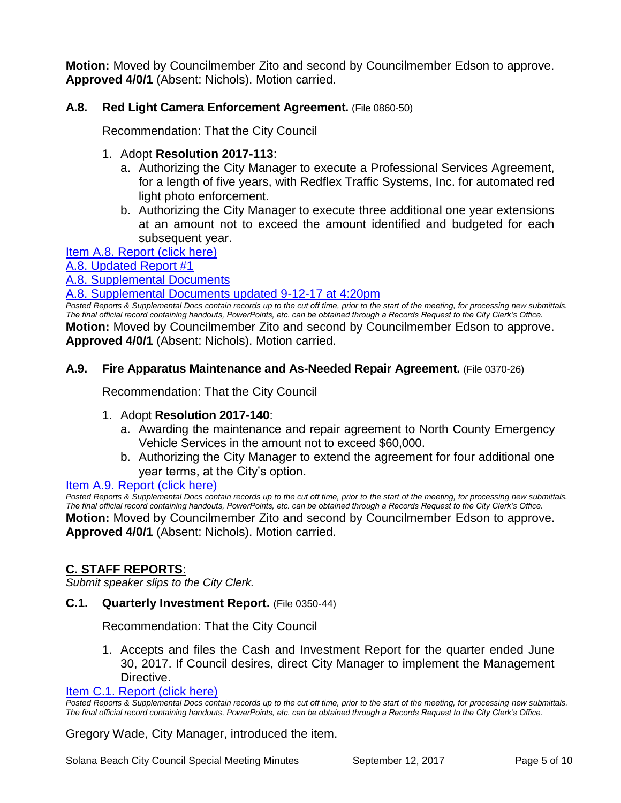**Motion:** Moved by Councilmember Zito and second by Councilmember Edson to approve. **Approved 4/0/1** (Absent: Nichols). Motion carried.

# **A.8. Red Light Camera Enforcement Agreement.** (File 0860-50)

Recommendation: That the City Council

#### 1. Adopt **Resolution 2017-113**:

- a. Authorizing the City Manager to execute a Professional Services Agreement, for a length of five years, with Redflex Traffic Systems, Inc. for automated red light photo enforcement.
- b. Authorizing the City Manager to execute three additional one year extensions at an amount not to exceed the amount identified and budgeted for each subsequent year.

[Item A.8. Report \(click here\)](https://solanabeach.govoffice3.com/vertical/Sites/%7B840804C2-F869-4904-9AE3-720581350CE7%7D/uploads/Item_A.8._Report_(click_here)_9-12-17.PDF)

[A.8. Updated Report #1](https://solanabeach.govoffice3.com/vertical/Sites/%7B840804C2-F869-4904-9AE3-720581350CE7%7D/uploads/A.8._Updated_Report_1_-_9-12-17.pdf)

[A.8. Supplemental Documents](https://solanabeach.govoffice3.com/vertical/Sites/%7B840804C2-F869-4904-9AE3-720581350CE7%7D/uploads/A.8._Supplemental_Documents_-_9-11-17_at_245pm.pdf)

[A.8. Supplemental Documents updated 9-12-17](https://solanabeach.govoffice3.com/vertical/Sites/%7B840804C2-F869-4904-9AE3-720581350CE7%7D/uploads/A.8._Supplemental_Document_updated__9-12-17_at_420pm.pdf) at 4:20pm

*Posted Reports & Supplemental Docs contain records up to the cut off time, prior to the start of the meeting, for processing new submittals. The final official record containing handouts, PowerPoints, etc. can be obtained through a Records Request to the City Clerk's Office.* **Motion:** Moved by Councilmember Zito and second by Councilmember Edson to approve. **Approved 4/0/1** (Absent: Nichols). Motion carried.

#### **A.9. Fire Apparatus Maintenance and As-Needed Repair Agreement.** (File 0370-26)

Recommendation: That the City Council

#### 1. Adopt **Resolution 2017-140**:

- a. Awarding the maintenance and repair agreement to North County Emergency Vehicle Services in the amount not to exceed \$60,000.
- b. Authorizing the City Manager to extend the agreement for four additional one year terms, at the City's option.

#### [Item A.9. Report \(click here\)](https://solanabeach.govoffice3.com/vertical/Sites/%7B840804C2-F869-4904-9AE3-720581350CE7%7D/uploads/Item_A.9._Report_(click_here)_9-12-17.PDF)

**Posted Reports & Supplemental Docs contain records up to the cut off time, prior to the start of the meeting, for processing new submittals.** *The final official record containing handouts, PowerPoints, etc. can be obtained through a Records Request to the City Clerk's Office.* **Motion:** Moved by Councilmember Zito and second by Councilmember Edson to approve. **Approved 4/0/1** (Absent: Nichols). Motion carried.

#### **C. STAFF REPORTS**:

*Submit speaker slips to the City Clerk.*

#### **C.1. Quarterly Investment Report.** (File 0350-44)

Recommendation: That the City Council

1. Accepts and files the Cash and Investment Report for the quarter ended June 30, 2017. If Council desires, direct City Manager to implement the Management Directive.

### [Item C.1. Report \(click here\)](https://solanabeach.govoffice3.com/vertical/Sites/%7B840804C2-F869-4904-9AE3-720581350CE7%7D/uploads/Item_C.1._Report_(click_here)_9-12-17.pdf)

*Posted Reports & Supplemental Docs contain records up to the cut off time, prior to the start of the meeting, for processing new submittals. The final official record containing handouts, PowerPoints, etc. can be obtained through a Records Request to the City Clerk's Office.*

#### Gregory Wade, City Manager, introduced the item.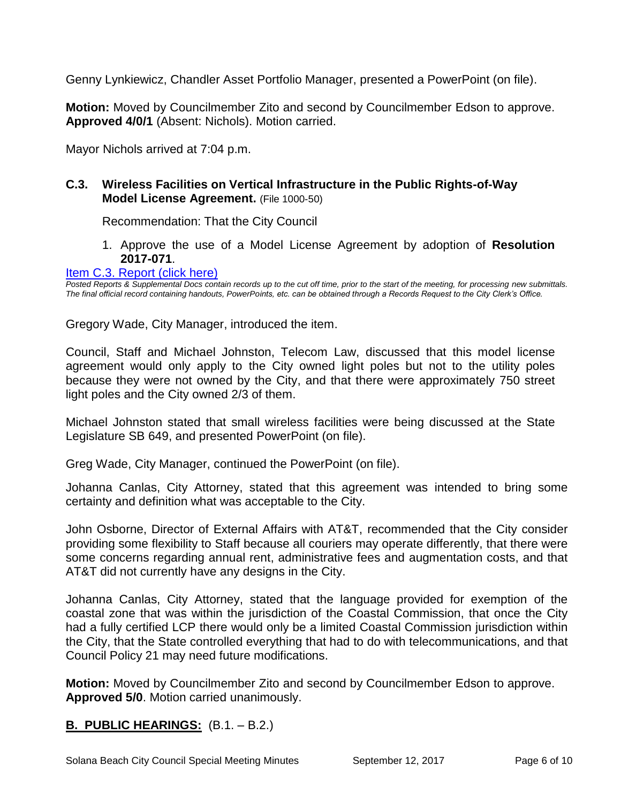Genny Lynkiewicz, Chandler Asset Portfolio Manager, presented a PowerPoint (on file).

**Motion:** Moved by Councilmember Zito and second by Councilmember Edson to approve. **Approved 4/0/1** (Absent: Nichols). Motion carried.

Mayor Nichols arrived at 7:04 p.m.

# **C.3. Wireless Facilities on Vertical Infrastructure in the Public Rights-of-Way Model License Agreement.** (File 1000-50)

Recommendation: That the City Council

1. Approve the use of a Model License Agreement by adoption of **Resolution 2017-071**.

[Item C.3. Report \(click here\)](https://solanabeach.govoffice3.com/vertical/Sites/%7B840804C2-F869-4904-9AE3-720581350CE7%7D/uploads/Item_C.3._Report_(click_here)_9-12-17.PDF)

*Posted Reports & Supplemental Docs contain records up to the cut off time, prior to the start of the meeting, for processing new submittals. The final official record containing handouts, PowerPoints, etc. can be obtained through a Records Request to the City Clerk's Office.*

Gregory Wade, City Manager, introduced the item.

Council, Staff and Michael Johnston, Telecom Law, discussed that this model license agreement would only apply to the City owned light poles but not to the utility poles because they were not owned by the City, and that there were approximately 750 street light poles and the City owned 2/3 of them.

Michael Johnston stated that small wireless facilities were being discussed at the State Legislature SB 649, and presented PowerPoint (on file).

Greg Wade, City Manager, continued the PowerPoint (on file).

Johanna Canlas, City Attorney, stated that this agreement was intended to bring some certainty and definition what was acceptable to the City.

John Osborne, Director of External Affairs with AT&T, recommended that the City consider providing some flexibility to Staff because all couriers may operate differently, that there were some concerns regarding annual rent, administrative fees and augmentation costs, and that AT&T did not currently have any designs in the City.

Johanna Canlas, City Attorney, stated that the language provided for exemption of the coastal zone that was within the jurisdiction of the Coastal Commission, that once the City had a fully certified LCP there would only be a limited Coastal Commission jurisdiction within the City, that the State controlled everything that had to do with telecommunications, and that Council Policy 21 may need future modifications.

**Motion:** Moved by Councilmember Zito and second by Councilmember Edson to approve. **Approved 5/0**. Motion carried unanimously.

# **B. PUBLIC HEARINGS:** (B.1. – B.2.)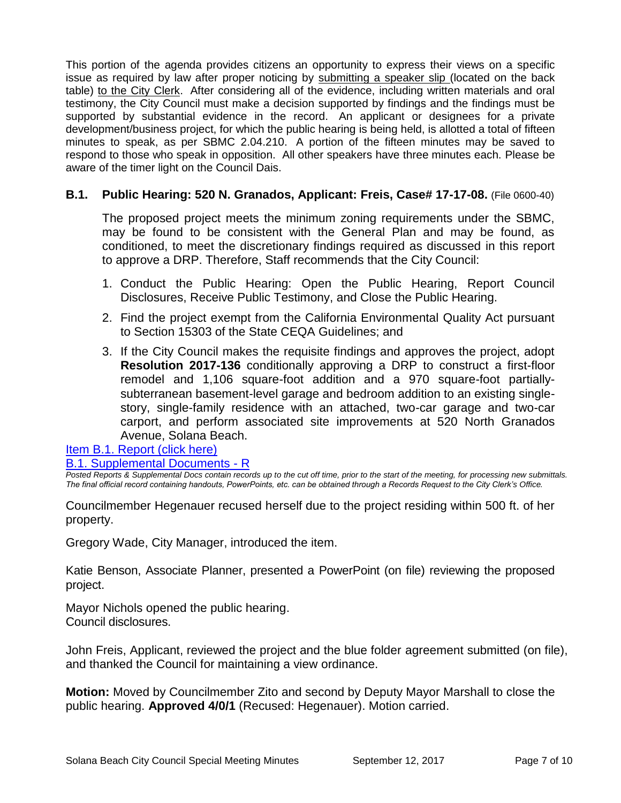This portion of the agenda provides citizens an opportunity to express their views on a specific issue as required by law after proper noticing by submitting a speaker slip (located on the back table) to the City Clerk. After considering all of the evidence, including written materials and oral testimony, the City Council must make a decision supported by findings and the findings must be supported by substantial evidence in the record. An applicant or designees for a private development/business project, for which the public hearing is being held, is allotted a total of fifteen minutes to speak, as per SBMC 2.04.210. A portion of the fifteen minutes may be saved to respond to those who speak in opposition. All other speakers have three minutes each. Please be aware of the timer light on the Council Dais.

# **B.1. Public Hearing: 520 N. Granados, Applicant: Freis, Case# 17-17-08.** (File 0600-40)

The proposed project meets the minimum zoning requirements under the SBMC, may be found to be consistent with the General Plan and may be found, as conditioned, to meet the discretionary findings required as discussed in this report to approve a DRP. Therefore, Staff recommends that the City Council:

- 1. Conduct the Public Hearing: Open the Public Hearing, Report Council Disclosures, Receive Public Testimony, and Close the Public Hearing.
- 2. Find the project exempt from the California Environmental Quality Act pursuant to Section 15303 of the State CEQA Guidelines; and
- 3. If the City Council makes the requisite findings and approves the project, adopt **Resolution 2017-136** conditionally approving a DRP to construct a first-floor remodel and 1,106 square-foot addition and a 970 square-foot partiallysubterranean basement-level garage and bedroom addition to an existing singlestory, single-family residence with an attached, two-car garage and two-car carport, and perform associated site improvements at 520 North Granados Avenue, Solana Beach.

[Item B.1. Report \(click here\)](https://solanabeach.govoffice3.com/vertical/Sites/%7B840804C2-F869-4904-9AE3-720581350CE7%7D/uploads/Item_B.1._Report_(click_here)_9-12-17.PDF)

**[B.1. Supplemental Documents -](https://solanabeach.govoffice3.com/vertical/Sites/%7B840804C2-F869-4904-9AE3-720581350CE7%7D/uploads/B.1._Supplemental_Documents_-_R(3).pdf) R** 

*Posted Reports & Supplemental Docs contain records up to the cut off time, prior to the start of the meeting, for processing new submittals. The final official record containing handouts, PowerPoints, etc. can be obtained through a Records Request to the City Clerk's Office.*

Councilmember Hegenauer recused herself due to the project residing within 500 ft. of her property.

Gregory Wade, City Manager, introduced the item.

Katie Benson, Associate Planner, presented a PowerPoint (on file) reviewing the proposed project.

Mayor Nichols opened the public hearing. Council disclosures.

John Freis, Applicant, reviewed the project and the blue folder agreement submitted (on file), and thanked the Council for maintaining a view ordinance.

**Motion:** Moved by Councilmember Zito and second by Deputy Mayor Marshall to close the public hearing. **Approved 4/0/1** (Recused: Hegenauer). Motion carried.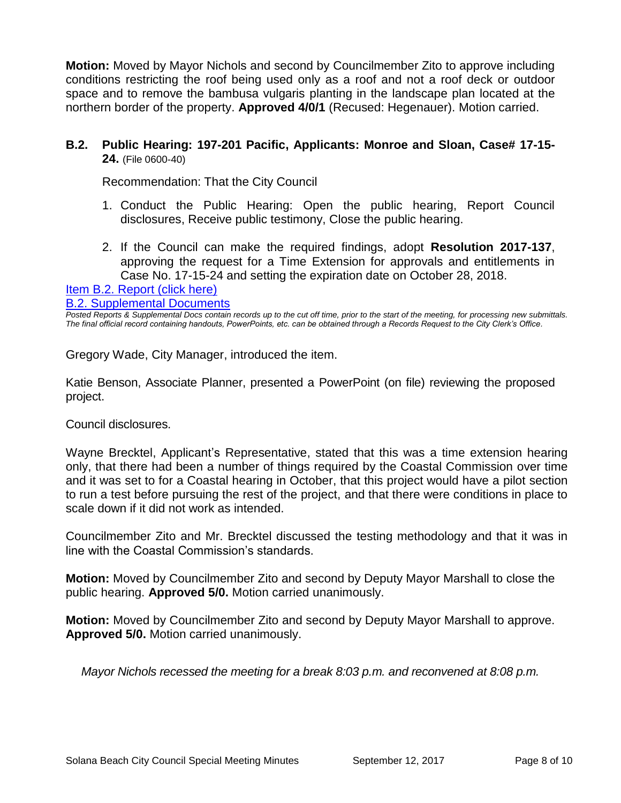**Motion:** Moved by Mayor Nichols and second by Councilmember Zito to approve including conditions restricting the roof being used only as a roof and not a roof deck or outdoor space and to remove the bambusa vulgaris planting in the landscape plan located at the northern border of the property. **Approved 4/0/1** (Recused: Hegenauer). Motion carried.

# **B.2. Public Hearing: 197-201 Pacific, Applicants: Monroe and Sloan, Case# 17-15- 24.** (File 0600-40)

Recommendation: That the City Council

- 1. Conduct the Public Hearing: Open the public hearing, Report Council disclosures, Receive public testimony, Close the public hearing.
- 2. If the Council can make the required findings, adopt **Resolution 2017-137**, approving the request for a Time Extension for approvals and entitlements in Case No. 17-15-24 and setting the expiration date on October 28, 2018.

[Item B.2. Report \(click here\)](https://solanabeach.govoffice3.com/vertical/Sites/%7B840804C2-F869-4904-9AE3-720581350CE7%7D/uploads/Item_B.2._Report_(click_here)_9-12-17.PDF)

[B.2. Supplemental Documents](https://solanabeach.govoffice3.com/vertical/Sites/%7B840804C2-F869-4904-9AE3-720581350CE7%7D/uploads/B.2._Supplemental_Documents_-_9-11-17.pdf)

*Posted Reports & Supplemental Docs contain records up to the cut off time, prior to the start of the meeting, for processing new submittals. The final official record containing handouts, PowerPoints, etc. can be obtained through a Records Request to the City Clerk's Office.*

Gregory Wade, City Manager, introduced the item.

Katie Benson, Associate Planner, presented a PowerPoint (on file) reviewing the proposed project.

Council disclosures.

Wayne Brecktel, Applicant's Representative, stated that this was a time extension hearing only, that there had been a number of things required by the Coastal Commission over time and it was set to for a Coastal hearing in October, that this project would have a pilot section to run a test before pursuing the rest of the project, and that there were conditions in place to scale down if it did not work as intended.

Councilmember Zito and Mr. Brecktel discussed the testing methodology and that it was in line with the Coastal Commission's standards.

**Motion:** Moved by Councilmember Zito and second by Deputy Mayor Marshall to close the public hearing. **Approved 5/0.** Motion carried unanimously.

**Motion:** Moved by Councilmember Zito and second by Deputy Mayor Marshall to approve. **Approved 5/0.** Motion carried unanimously.

*Mayor Nichols recessed the meeting for a break 8:03 p.m. and reconvened at 8:08 p.m.*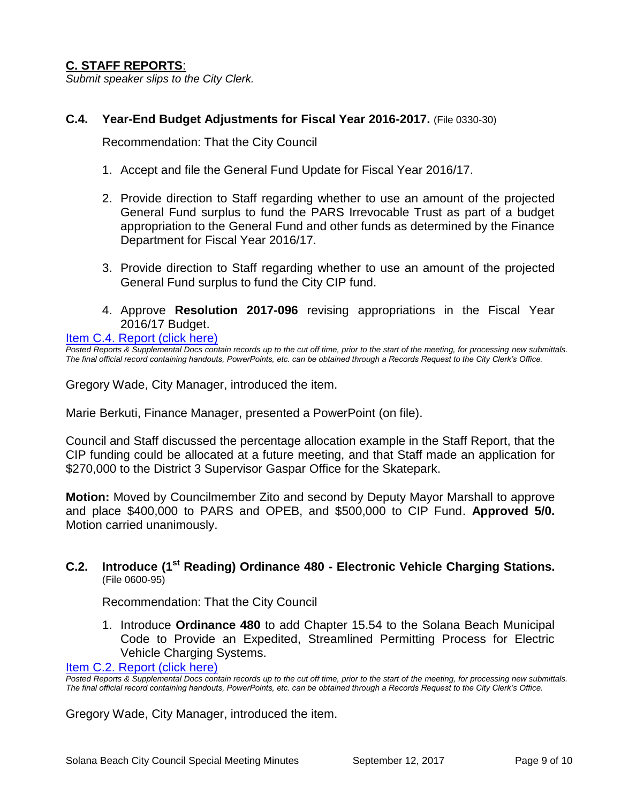# **C. STAFF REPORTS**:

*Submit speaker slips to the City Clerk.*

#### **C.4. Year-End Budget Adjustments for Fiscal Year 2016-2017.** (File 0330-30)

Recommendation: That the City Council

- 1. Accept and file the General Fund Update for Fiscal Year 2016/17.
- 2. Provide direction to Staff regarding whether to use an amount of the projected General Fund surplus to fund the PARS Irrevocable Trust as part of a budget appropriation to the General Fund and other funds as determined by the Finance Department for Fiscal Year 2016/17.
- 3. Provide direction to Staff regarding whether to use an amount of the projected General Fund surplus to fund the City CIP fund.
- 4. Approve **Resolution 2017-096** revising appropriations in the Fiscal Year 2016/17 Budget.

[Item C.4. Report \(click here\)](https://solanabeach.govoffice3.com/vertical/Sites/%7B840804C2-F869-4904-9AE3-720581350CE7%7D/uploads/Item_C.4._Report_(click_here)_9-12-17.PDF)

*Posted Reports & Supplemental Docs contain records up to the cut off time, prior to the start of the meeting, for processing new submittals. The final official record containing handouts, PowerPoints, etc. can be obtained through a Records Request to the City Clerk's Office.*

Gregory Wade, City Manager, introduced the item.

Marie Berkuti, Finance Manager, presented a PowerPoint (on file).

Council and Staff discussed the percentage allocation example in the Staff Report, that the CIP funding could be allocated at a future meeting, and that Staff made an application for \$270,000 to the District 3 Supervisor Gaspar Office for the Skatepark.

**Motion:** Moved by Councilmember Zito and second by Deputy Mayor Marshall to approve and place \$400,000 to PARS and OPEB, and \$500,000 to CIP Fund. **Approved 5/0.**  Motion carried unanimously.

#### **C.2. Introduce (1st Reading) Ordinance 480 - Electronic Vehicle Charging Stations.** (File 0600-95)

Recommendation: That the City Council

1. Introduce **Ordinance 480** to add Chapter 15.54 to the Solana Beach Municipal Code to Provide an Expedited, Streamlined Permitting Process for Electric Vehicle Charging Systems.

[Item C.2. Report \(click here\)](https://solanabeach.govoffice3.com/vertical/Sites/%7B840804C2-F869-4904-9AE3-720581350CE7%7D/uploads/Item_C.2._Report_(click_here)_9-12-17.PDF)

**Posted Reports & Supplemental Docs contain records up to the cut off time, prior to the start of the meeting, for processing new submittals.** *The final official record containing handouts, PowerPoints, etc. can be obtained through a Records Request to the City Clerk's Office.*

Gregory Wade, City Manager, introduced the item.